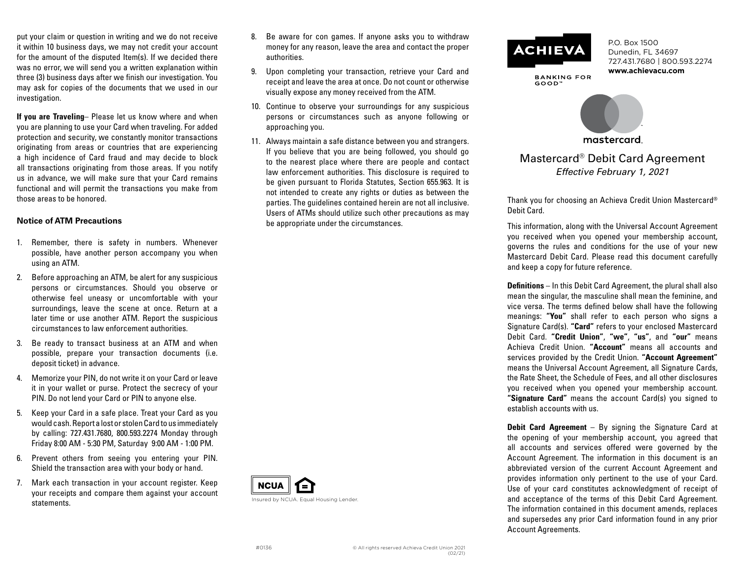put your claim or question in writing and we do not receive it within 10 business days, we may not credit your account for the amount of the disputed Item(s). If we decided there was no error, we will send you a written explanation within three (3) business days after we finish our investigation. You may ask for copies of the documents that we used in our investigation.

**If you are Traveling**– Please let us know where and when you are planning to use your Card when traveling. For added protection and security, we constantly monitor transactions originating from areas or countries that are experiencing a high incidence of Card fraud and may decide to block all transactions originating from those areas. If you notify us in advance, we will make sure that your Card remains functional and will permit the transactions you make from those areas to be honored.

## **Notice of ATM Precautions**

- 1. Remember, there is safety in numbers. Whenever possible, have another person accompany you when using an ATM.
- 2. Before approaching an ATM, be alert for any suspicious persons or circumstances. Should you observe or otherwise feel uneasy or uncomfortable with your surroundings, leave the scene at once. Return at a later time or use another ATM. Report the suspicious circumstances to law enforcement authorities.
- 3. Be ready to transact business at an ATM and when possible, prepare your transaction documents (i.e. deposit ticket) in advance.
- 4. Memorize your PIN, do not write it on your Card or leave it in your wallet or purse. Protect the secrecy of your PIN. Do not lend your Card or PIN to anyone else.
- 5. Keep your Card in a safe place. Treat your Card as you would cash. Report a lost or stolen Card to us immediately by calling: 727.431.7680, 800.593.2274 Monday through Friday 8:00 AM - 5:30 PM, Saturday 9:00 AM - 1:00 PM.
- 6. Prevent others from seeing you entering your PIN. Shield the transaction area with your body or hand.
- 7. Mark each transaction in your account register. Keep your receipts and compare them against your account statements.
- 8. Be aware for con games. If anyone asks you to withdraw money for any reason, leave the area and contact the proper authorities.
- 9. Upon completing your transaction, retrieve your Card and receipt and leave the area at once. Do not count or otherwise visually expose any money received from the ATM.
- 10. Continue to observe your surroundings for any suspicious persons or circumstances such as anyone following or approaching you.
- 11. Always maintain a safe distance between you and strangers. If you believe that you are being followed, you should go to the nearest place where there are people and contact law enforcement authorities. This disclosure is required to be given pursuant to Florida Statutes, Section 655.963. It is not intended to create any rights or duties as between the parties. The guidelines contained herein are not all inclusive. Users of ATMs should utilize such other precautions as may be appropriate under the circumstances.



#0136



**BANKING FOR** GOOD"

P.O. Box 1500 Dunedin, FL 34697 727.431.7680 | 800.593.2274 **www.achievacu.com**



Mastercard® Debit Card Agreement *Effective February 1, 2021*

Thank you for choosing an Achieva Credit Union Mastercard® Debit Card.

This information, along with the Universal Account Agreement you received when you opened your membership account, governs the rules and conditions for the use of your new Mastercard Debit Card. Please read this document carefully and keep a copy for future reference.

**Definitions** – In this Debit Card Agreement, the plural shall also mean the singular, the masculine shall mean the feminine, and vice versa. The terms defined below shall have the following meanings: **"You"** shall refer to each person who signs a Signature Card(s). **"Card"** refers to your enclosed Mastercard Debit Card. **"Credit Union"**, **"we"**, **"us"**, and **"our"** means Achieva Credit Union. **"Account"** means all accounts and services provided by the Credit Union. **"Account Agreement"**  means the Universal Account Agreement, all Signature Cards, the Rate Sheet, the Schedule of Fees, and all other disclosures you received when you opened your membership account. **"Signature Card"** means the account Card(s) you signed to establish accounts with us.

**Debit Card Agreement** – By signing the Signature Card at the opening of your membership account, you agreed that all accounts and services offered were governed by the Account Agreement. The information in this document is an abbreviated version of the current Account Agreement and provides information only pertinent to the use of your Card. Use of your card constitutes acknowledgment of receipt of and acceptance of the terms of this Debit Card Agreement. The information contained in this document amends, replaces and supersedes any prior Card information found in any prior Account Agreements.